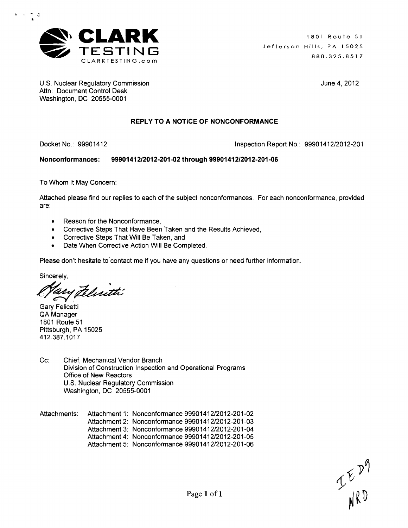

U.S. Nuclear Regulatory Commission **June 4, 2012** Attn: Document Control Desk Washington, DC 20555-0001

 $\sim 10^{-2}$  .  $\Delta$ 

Docket No.: 99901412 Inspection Report No.: 99901412/2012-201

Nonconformances: 9990141212012-201-02 through **99901412/2012-201-06**

To Whom It May Concern:

Attached please find our replies to each of the subject nonconformances. For each nonconformance, provided are:

REPLY TO **A NOTICE** OF **NONCONFORMANCE**

- **"** Reason for the Nonconformance,
- \* Corrective Steps That Have Been Taken and the Results Achieved,
- \* Corrective Steps That Will Be Taken, and
- \* Date When Corrective Action Will Be Completed.

Please don't hesitate to contact me if you have any questions or need further information.

Sincerely,

Pelisetti

Gary Felicetti QA Manager 1801 Route 51 Pittsburgh, PA 15025 412.387.1017

- Cc: Chief, Mechanical Vendor Branch Division of Construction Inspection and Operational Programs Office of New Reactors U.S. Nuclear Regulatory Commission Washington, DC 20555-0001
- Attachments: Attachment 1: Nonconformance 99901412/2012-201-02 Attachment 2: Nonconformance 99901412/2012-201-03 Attachment 3: Nonconformance 99901412/2012-201-04 Attachment 4: Nonconformance 99901412/2012-201-05 Attachment 5: Nonconformance 99901412/2012-201-06

Page 1 of 1  $\mathcal{L}^{\mathcal{L}}$   $\mathbb{R}^{\mathcal{V}'}$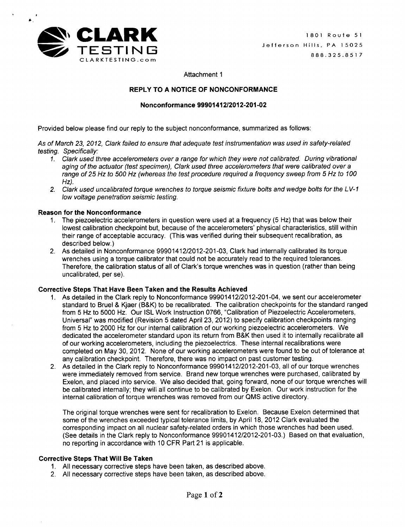

 $\bullet$ 

Attachment 1

# REPLY TO **A NOTICE** OF **NONCONFORMANCE**

## Nonconformance 9990141212012-201-02

Provided below please find our reply to the subject nonconformance, summarized as follows:

*As of March 23, 2012, Clark failed to ensure that adequate test instrumentation was used in safety-related testing. Specifically:*

- 1. *Clark used three accelerometers over a range for which they were not calibrated. During vibrational aging of the actuator (test specimen), Clark used three accelerometers that were calibrated over a range of 25 Hz to 500 Hz (whereas the test procedure required a frequency sweep from 5 Hz to 100 Hz).*
- *2. Clark used uncalibrated torque wrenches to torque seismic fixture bolts and wedge bolts for the L V- 1 low voltage penetration seismic testing.*

#### Reason for the Nonconformance

- 1. The piezoelectric accelerometers in question were used at a frequency (5 Hz) that was below their lowest calibration checkpoint but, because of the accelerometers' physical characteristics, still within their range of acceptable accuracy. (This was verified during their subsequent recalibration, as described below.)
- 2. As detailed in Nonconformance 99901412/2012-201-03, Clark had internally calibrated its torque wrenches using a torque calibrator that could not be accurately read to the required tolerances. Therefore, the calibration status of all of Clark's torque wrenches was in question (rather than being uncalibrated, per se).

## Corrective Steps That Have Been Taken and the Results Achieved

- **1.** As detailed in the Clark reply to Nonconformance 99901412/2012-201-04, we sent our accelerometer standard to Bruel & Kjaer (B&K) to be recalibrated. The calibration checkpoints for the standard ranged from 5 Hz to 5000 Hz. Our ISL Work Instruction 0766, "Calibration of Piezoelectric Accelerometers, Universal" was modified (Revision 5 dated April 23, 2012) to specify calibration checkpoints ranging from 5 Hz to 2000 Hz for our internal calibration of our working piezoelectric accelerometers. We dedicated the accelerometer standard upon its return from B&K then used it to internally recalibrate all of our working accelerometers, including the piezoelectrics. These internal recalibrations were completed on May 30, 2012. None of our working accelerometers were found to be out of tolerance at any calibration checkpoint. Therefore, there was no impact on past customer testing.
- 2. As detailed in the Clark reply to Nonconformance 99901412/2012-201-03, all of our torque wrenches were immediately removed from service. Brand new torque wrenches were purchased, calibrated by Exelon, and placed into service. We also decided that, going forward, none of our torque wrenches will be calibrated internally; they will all continue to be calibrated by Exelon. Our work instruction for the internal calibration of torque wrenches was removed from our **QMS** active directory.

The original torque wrenches were sent for recalibration to Exelon. Because Exelon determined that some of the wrenches exceeded typical tolerance limits, by April 18, 2012 Clark evaluated the corresponding impact on all nuclear safety-related orders in which those wrenches had been used. (See details in the Clark reply to Nonconformance 99901412/2012-201-03.) Based on that evaluation, no reporting in accordance with 10 CFR Part 21 is applicable.

## Corrective Steps That Will Be Taken

- 1. All necessary corrective steps have been taken, as described above.
- 2. All necessary corrective steps have been taken, as described above.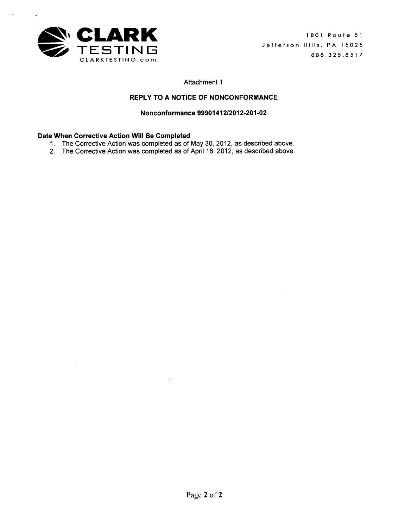

# REPLY TO **A NOTICE** OF **NONCONFORMANCE**

Nonconformance 9990141212012-201-02

- 1. The Corrective Action was completed as of May 30, 2012, as described above.
- 2. The Corrective Action was completed as of April 18, 2012, as described above.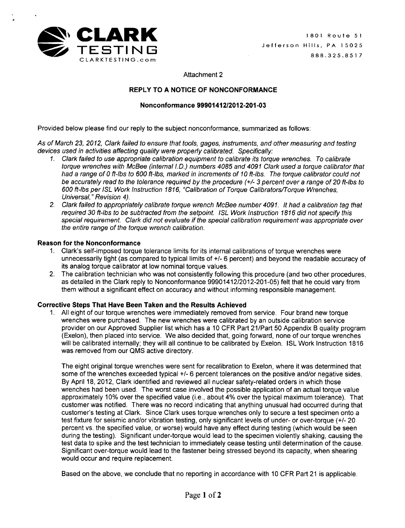

# REPLY TO **A NOTICE** OF **NONCONFORMANCE**

## Nonconformance 99901412/2012-201-03

Provided below please find our reply to the subject nonconformance, summarized as follows:

*As of March 23, 2012, Clark failed to ensure that tools, gages, instruments, and other measuring and testing devices used in activities affecting quality were properly calibrated. Specifically:*

- 1. *Clark failed to use appropriate calibration equipment to calibrate its torque wrenches. To calibrate torque wrenches with McBee (internal I.D.) numbers 4085 and 4091 Clark used a torque calibrator that had a range of* **0** *ft-lbs to 600 ft-lbs, marked in increments of 10 ft-lbs. The torque calibrator could not be accurately read to the tolerance required by the procedure (+/- 3 percent over a range of 20 ft-lbs to 600 ft-lbs per* **ISL** *Work* Instruction *1816, "Calibration of Torque Calibrators-/orque Wrenches, Universal," Revision 4).*
- *2. Clark failed to appropriately calibrate torque wrench McBee number 4091.* It *had a calibration tag that required 30 ft-lbs to be subtracted from the setpoint.* **ISL** *Work* Instruction *1816 did not specify this special requirement. Clark did not evaluate if the special calibration requirement was appropriate over the entire range of the torque wrench calibration.*

## Reason for the Nonconformance

- **1.** Clark's self-imposed torque tolerance limits for its internal calibrations of torque wrenches were unnecessarily tight (as compared to typical limits of **+/-** 6 percent) and beyond the readable accuracy of its analog torque calibrator at low nominal torque values.
- 2. The calibration technician who was not consistently following this procedure (and two other procedures, as detailed in the Clark reply to Nonconformance 99901412/2012-201-05) felt that he could vary from them without a significant effect on accuracy and without informing responsible management.

# Corrective Steps That Have Been Taken and the Results Achieved

**1.** All eight of our torque wrenches were immediately removed from service. Four brand new torque wrenches were purchased. The new wrenches were calibrated by an outside calibration service provider on our Approved Supplier list which has a 10 CFR Part 21/Part 50 Appendix B quality program (Exelon), then placed into service. We also decided that, going forward, none of our torque wrenches will be calibrated internally; they will all continue to be calibrated by Exelon. ISL Work Instruction 1816 was removed from our QMS active directory.

The eight original torque wrenches were sent for recalibration to Exelon, where it was determined that some of the wrenches exceeded typical **+/-** 6 percent tolerances on the positive and/or negative sides. By April 18, 2012, Clark identified and reviewed all nuclear safety-related orders in which those wrenches had been used. The worst case involved the possible application of an actual torque value approximately 10% over the specified value (i.e., about 4% over the typical maximum tolerance). That customer was notified. There was no record indicating that anything unusual had occurred during that customer's testing at Clark. Since Clark uses torque wrenches only to secure a test specimen onto a test fixture for seismic and/or vibration testing, only significant levels of under- or over-torque (+/- 20 percent vs. the specified value, or worse) would have any effect during testing (which would be seen during the testing). Significant under-torque would lead to the specimen violently shaking, causing the test data to spike and the test technician to immediately cease testing until determination of the cause. Significant over-torque would lead to the fastener being stressed beyond its capacity, when shearing would occur and require replacement.

Based on the above, we conclude that no reporting in accordance with 10 CFR Part 21 is applicable.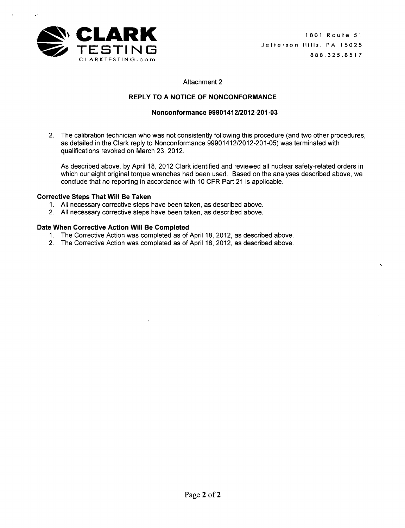

## REPLY TO **A NOTICE** OF **NONCONFORMANCE**

### Nonconformance 99901412/2012-201-03

2. The calibration technician who was not consistently following this procedure (and two other procedures, as detailed in the Clark reply to Nonconformance 99901412/2012-201-05) was terminated with qualifications revoked on March 23, 2012.

As described above, by April 18, 2012 Clark identified and reviewed all nuclear safety-related orders in which our eight original torque wrenches had been used. Based on the analyses described above, we conclude that no reporting in accordance with 10 CFR Part 21 is applicable.

#### Corrective Steps That Will Be Taken

- 1. All necessary corrective steps have been taken, as described above.
- 2. All necessary corrective steps have been taken, as described above.

- 1. The Corrective Action was completed as of April 18, 2012, as described above.
- 2. The Corrective Action was completed as of April 18, 2012, as described above.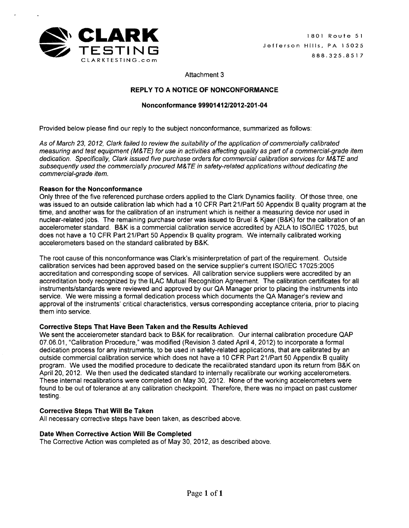

# REPLY TO **A NOTICE** OF **NONCONFORMANCE**

# Nonconformance 9990141212012-201-04

Provided below please find our reply to the subject nonconformance, summarized as follows:

*As of March* 23, *2012, Clark failed to review the suitability of the application of commercially calibrated measuring and test equipment (M&TE) for use in activities affecting quality as part of a commercial-grade item dedication. Specifically, Clark issued five purchase orders for commercial calibration services for M&TE and subsequently used the commercially procured M& TE in safety-related applications without dedicating the commercial-grade item.*

## Reason for the Nonconformance

Only three of the five referenced purchase orders applied to the Clark Dynamics facility. Of those three, one was issued to an outside calibration lab which had a 10 CFR Part 21/Part 50 Appendix B quality program at the time, and another was for the calibration of an instrument which is neither a measuring device nor used in nuclear-related jobs. The remaining purchase order was issued to Bruel & Kjaer (B&K) for the calibration of an accelerometer standard. B&K is a commercial calibration service accredited by A2LA to ISO/IEC 17025, but does not have a 10 CFR Part 21/Part 50 Appendix B quality program. We internally calibrated working accelerometers based on the standard calibrated by B&K.

The root cause of this nonconformance was Clark's misinterpretation of part of the requirement. Outside calibration services had been approved based on the service supplier's current ISO/IEC 17025:2005 accreditation and corresponding scope of services. All calibration service suppliers were accredited by an accreditation body recognized by the ILAC Mutual Recognition Agreement. The calibration certificates for all instruments/standards were reviewed and approved by our QA Manager prior to placing the instruments into service. We were missing a formal dedication process which documents the QA Manager's review and approval of the instruments' critical characteristics, versus corresponding acceptance criteria, prior to placing them into service.

## Corrective Steps That Have Been Taken and the Results Achieved

We sent the accelerometer standard back to B&K for recalibration. Our internal calibration procedure QAP 07.06.01, "Calibration Procedure," was modified (Revision 3 dated April 4, 2012) to incorporate a formal dedication process for any instruments, to be used in safety-related applications, that are calibrated by an outside commercial calibration service which does not have a 10 CFR Part 21/Part 50 Appendix B quality program. We used the modified procedure to dedicate the recalibrated standard upon its return from B&K on April 20, 2012. We then used the dedicated standard to internally recalibrate our working accelerometers. These internal recalibrations were completed on May 30, 2012. None of the working accelerometers were found to be out of tolerance at any calibration checkpoint. Therefore, there was no impact on past customer testing.

## Corrective Steps That Will Be Taken

All necessary corrective steps have been taken, as described above.

# Date When Corrective Action Will Be Completed

The Corrective Action was completed as of May 30, 2012, as described above.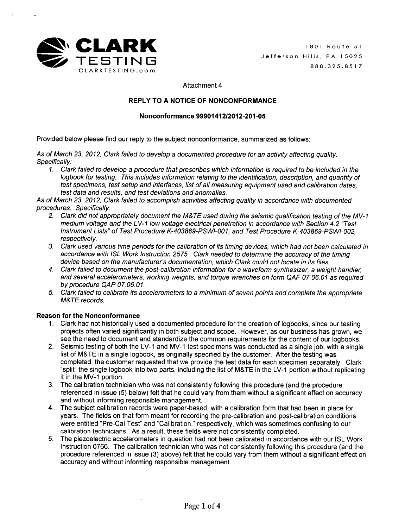

# REPLY TO **A NOTICE** OF **NONCONFORMANCE**

## Nonconformance **99901412/2012-201-05**

Provided below please find our reply to the subject nonconformance, summarized as follows:

*As of March 23, 2012, Clark failed to develop a documented procedure for an activity affecting quality. Specifically:*

*1. Clark failed to develop a procedure that prescribes which information is required to be included in the logbook for testing. This includes information relating to the identification, description, and quantity of test specimens, test setup and interfaces, list of all measuring equipment used and calibration dates, test data and results, and test deviations and anomalies.*

*As of March 23, 2012, Clark failed to accomplish activities affecting quality in accordance with documented procedures. Specifically:*

- *2. Clark did not appropriately document the M&TE used during the seismic qualification testing of the MV-I medium voltage and the L V- 1 low voltage electrical penetration in accordance with Section 4.2 "Test Instrument Lists" of Test Procedure K-403869-PSWI-001, and Test Procedure K-403869-PSWI-002, respectively.*
- *3. Clark used various time periods for the calibration of its timing devices, which had not been calculated in accordance with ISL Work Instruction 2575. Clark needed to determine the accuracy of the timing device based on the manufacturer's documentation, which Clark could not locate in its files.*
- *4. Clark failed to document the post-calibration information for a waveform synthesizer, a weight handler, and several accelerometers, working weights, and torque wrenches on form QAF 07.06.01 as required by procedure QAP 07.06. 01.*
- *5. Clark failed to calibrate its accelerometers to a minimum of seven points and complete the appropriate M&TE records.*

## Reason for the Nonconformance

- **1.** Clark had not historically used a documented procedure for the creation of logbooks, since our testing projects often varied significantly in both subject and scope. However, as our business has grown, we see the need to document and standardize the common requirements for the content of our logbooks.
- 2. Seismic testing of both the LV-1 and MV-1 test specimens was conducted as a single job, with a single list of M&TE in a single logbook, as originally specified by the customer. After the testing was completed, the customer requested that we provide the test data for each specimen separately. Clark "split" the single logbook into two parts, including the list of M&TE in the LV-1 portion without replicating it in the MV-1 portion.
- 3. The calibration technician who was not consistently following this procedure (and the procedure referenced in issue (5) below) felt that he could vary from them without a significant effect on accuracy and without informing responsible management.
- 4. The subject calibration records were paper-based, with a calibration form that had been in place for years. The fields on that form meant for recording the pre-calibration and post-calibration conditions were entitled "Pre-Cal Test" and "Calibration," respectively, which was sometimes confusing to our calibration technicians. As a result, these fields were not consistently completed.
- 5. The piezoelectric accelerometers in question had not been calibrated in accordance with our ISL Work Instruction 0766. The calibration technician who was not consistently following this procedure (and the procedure referenced in issue (3) above) felt that he could vary from them without a significant effect on accuracy and without informing responsible management.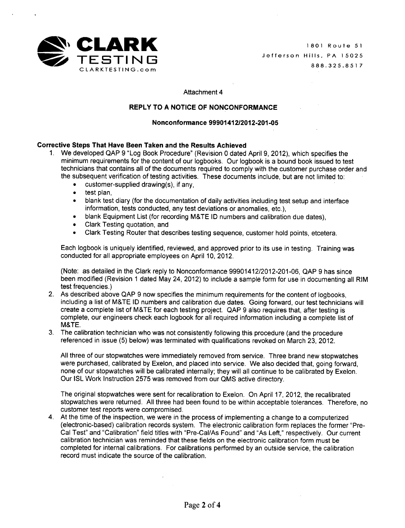

## REPLY TO **A NOTICE** OF **NONCONFORMANCE**

### Nonconformance **99901412/2012-201-05**

## Corrective Steps That Have Been Taken and the Results Achieved

- 1. We developed QAP 9 "Log Book Procedure" (Revision 0 dated April 9, 2012), which specifies the minimum requirements for the content of our logbooks. Our logbook is a bound book issued to test technicians that contains all of the documents required to comply with the customer purchase order and the subsequent verification of testing activities. These documents include, but are not limited to:
	- $\bullet$  customer-supplied drawing(s), if any,
	- test plan.
	- \* blank test diary (for the documentation of daily activities including test setup and interface information, tests conducted, any test deviations or anomalies, etc.),
	- \* blank Equipment List (for recording M&TE ID numbers and calibration due dates),
	- \* Clark Testing quotation, and
	- \* Clark Testing Router that describes testing sequence, customer hold points, etcetera.

Each logbook is uniquely identified, reviewed, and approved prior to its use in testing. Training was conducted for all appropriate employees on April 10, 2012.

(Note: as detailed in the Clark reply to Nonconformance 99901412/2012-201-06, QAP 9 has since been modified (Revision 1 dated May 24, 2012) to include a sample form for use in documenting all RIM test frequencies.)

- 2. As described above QAP 9 now specifies the minimum requirements for the content of logbooks, including a list of M&TE ID numbers and calibration due dates. Going forward, our test technicians will create a complete list of M&TE for each testing project. QAP 9 also requires that, after testing is complete, our engineers check each logbook for all required information including a complete list of M&TE.
- 3. The calibration technician who was not consistently following this procedure (and the procedure referenced in issue (5) below) was terminated with qualifications revoked on March 23, 2012.

All three of our stopwatches were immediately removed from service. Three brand new stopwatches were purchased, calibrated by Exelon, and placed into service. We also decided that, going forward, none of our stopwatches will be calibrated internally; they will all continue to be calibrated by Exelon. Our ISL Work Instruction 2575 was removed from our QMS active directory.

The original stopwatches were sent for recalibration to Exelon. On April 17, 2012, the recalibrated stopwatches were returned. All three had been found to be within acceptable tolerances. Therefore, no customer test reports were compromised.

4. At the time of the inspection, we were in the process of implementing a change to a computerized (electronic-based) calibration records system. The electronic calibration form replaces the former "Pre-Cal Test" and "Calibration" field titles with "Pre-Cal/As Found" and "As Left," respectively. Our current calibration technician was reminded that these fields on the electronic calibration form must be completed for internal calibrations. For calibrations performed by an outside service, the calibration record must indicate the source of the calibration.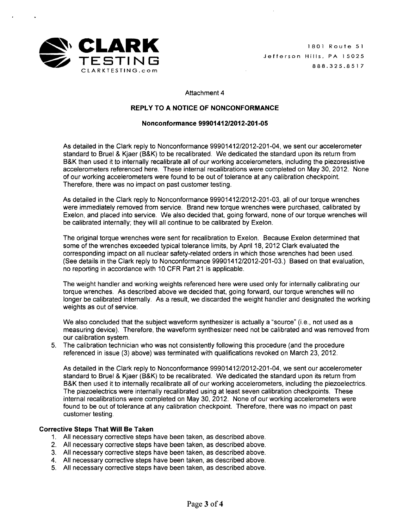

### REPLY TO **A NOTICE** OF **NONCONFORMANCE**

#### Nonconformance **99901412/2012-201-05**

As detailed in the Clark reply to Nonconformance 99901412/2012-201-04, we sent our accelerometer standard to Bruel & Kjaer (B&K) to be recalibrated. We dedicated the standard upon its return from B&K then used it to internally recalibrate all of our working accelerometers, including the piezoresistive accelerometers referenced here. These internal recalibrations were completed on May 30, 2012. None of our working accelerometers were found to be out of tolerance at any calibration checkpoint. Therefore, there was no impact on past customer testing.

As detailed in the Clark reply to Nonconformance 99901412/2012-201-03, all of our torque wrenches were immediately removed from service. Brand new torque wrenches were purchased, calibrated by Exelon, and placed into service. We also decided that, going forward, none of our torque wrenches will be calibrated internally; they will all continue to be calibrated by Exelon.

The original torque wrenches were sent for recalibration to Exelon. Because Exelon determined that some of the wrenches exceeded typical tolerance limits, by April 18, 2012 Clark evaluated the corresponding impact on all nuclear safety-related orders in which those wrenches had been used. (See details in the Clark reply to Nonconformance 99901412/2012-201-03.) Based on that evaluation, no reporting in accordance with 10 CFR Part 21 is applicable.

The weight handler and working weights referenced here were used only for internally calibrating our torque wrenches. As described above we decided that, going forward, our torque wrenches will no longer be calibrated internally. As a result, we discarded the weight handler and designated the working weights as out of service.

We also concluded that the subject waveform synthesizer is actually a "source" (i.e., not used as a measuring device). Therefore, the waveform synthesizer need not be calibrated and was removed from our calibration system.

5. The calibration technician who was not consistently following this procedure (and the procedure referenced in issue (3) above) was terminated with qualifications revoked on March 23, 2012.

As detailed in the Clark reply to Nonconformance 99901412/2012-201-04, we sent our accelerometer standard to Bruel & Kjaer (B&K) to be recalibrated. We dedicated the standard upon its return from B&K then used it to internally recalibrate all of our working accelerometers, including the piezoelectrics. The piezoelectrics were internally recalibrated using at least seven calibration checkpoints. These internal recalibrations were completed on May 30, 2012. None of our working accelerometers were found to be out of tolerance at any calibration checkpoint. Therefore, there was no impact on past customer testing.

#### Corrective Steps That Will Be Taken

- 1. All necessary corrective steps have been taken, as described above.
- 2. All necessary corrective steps have been taken, as described above.
- 3. All necessary corrective steps have been taken, as described above.
- 4. All necessary corrective steps have been taken, as described above.
- 5. All necessary corrective steps have been taken, as described above.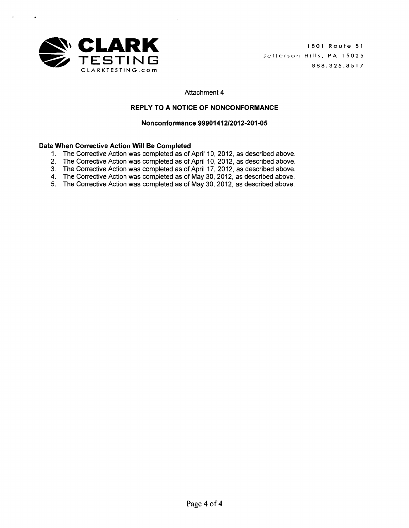

## REPLY TO **A NOTICE** OF **NONCONFORMANCE**

### Nonconformance **99901412/2012-201-05**

- 1. The Corrective Action was completed as of April 10, 2012, as described above.
- 2. The Corrective Action was completed as of April 10, 2012, as described above
- 3. The Corrective Action was completed as of April 17, 2012, as described above.
- 4. The Corrective Action was completed as of May 30, 2012, as described above.
- 5. The Corrective Action was completed as of May 30, 2012, as described above.